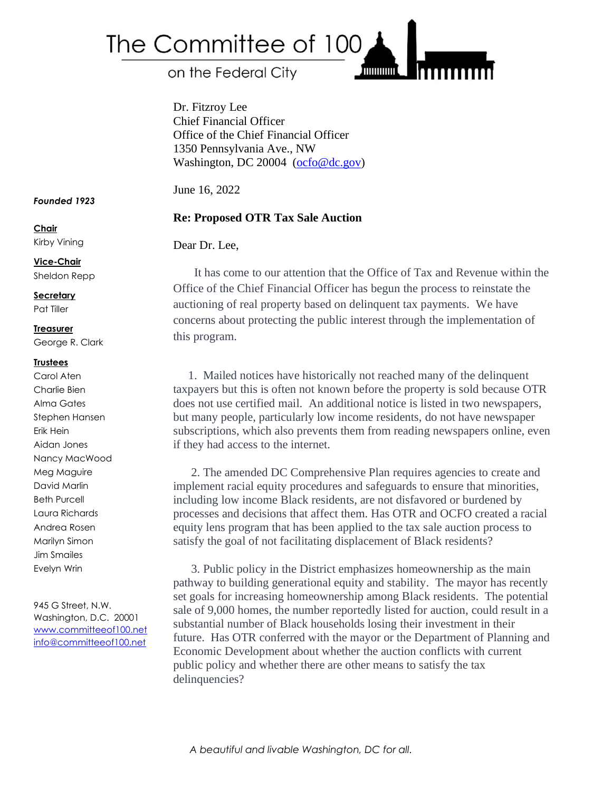

on the Federal City

Dr. Fitzroy Lee Chief Financial Officer Office of the Chief Financial Officer 1350 Pennsylvania Ave., NW Washington, DC 20004 [\(ocfo@dc.gov\)](mailto:ocfo@dc.gov)

June 16, 2022

# **Re: Proposed OTR Tax Sale Auction**

### Dear Dr. Lee,

It has come to our attention that the Office of Tax and Revenue within the Office of the Chief Financial Officer has begun the process to reinstate the auctioning of real property based on delinquent tax payments. We have concerns about protecting the public interest through the implementation of this program.

**THILITING** 

1. Mailed notices have historically not reached many of the delinquent taxpayers but this is often not known before the property is sold because OTR does not use certified mail. An additional notice is listed in two newspapers, but many people, particularly low income residents, do not have newspaper subscriptions, which also prevents them from reading newspapers online, even if they had access to the internet.

2. The amended DC Comprehensive Plan requires agencies to create and implement racial equity procedures and safeguards to ensure that minorities, including low income Black residents, are not disfavored or burdened by processes and decisions that affect them. Has OTR and OCFO created a racial equity lens program that has been applied to the tax sale auction process to satisfy the goal of not facilitating displacement of Black residents?

3. Public policy in the District emphasizes homeownership as the main pathway to building generational equity and stability. The mayor has recently set goals for increasing homeownership among Black residents. The potential sale of 9,000 homes, the number reportedly listed for auction, could result in a substantial number of Black households losing their investment in their future. Has OTR conferred with the mayor or the Department of Planning and Economic Development about whether the auction conflicts with current public policy and whether there are other means to satisfy the tax delinquencies?

#### *Founded 1923*

**Chair**

Kirby Vining

**Vice-Chair** Sheldon Repp

**Secretary** Pat Tiller

## **Treasurer**

George R. Clark

#### **Trustees**

Carol Aten Charlie Bien Alma Gates Stephen Hansen Erik Hein Aidan Jones Nancy MacWood Meg Maguire David Marlin Beth Purcell Laura Richards Andrea Rosen Marilyn Simon Jim Smailes Evelyn Wrin

945 G Street, N.W. Washington, D.C. 20001 [www.committeeof100.net](http://www.committeeof100.net/) [info@committeeof100.net](mailto:info@committeeof100.net)